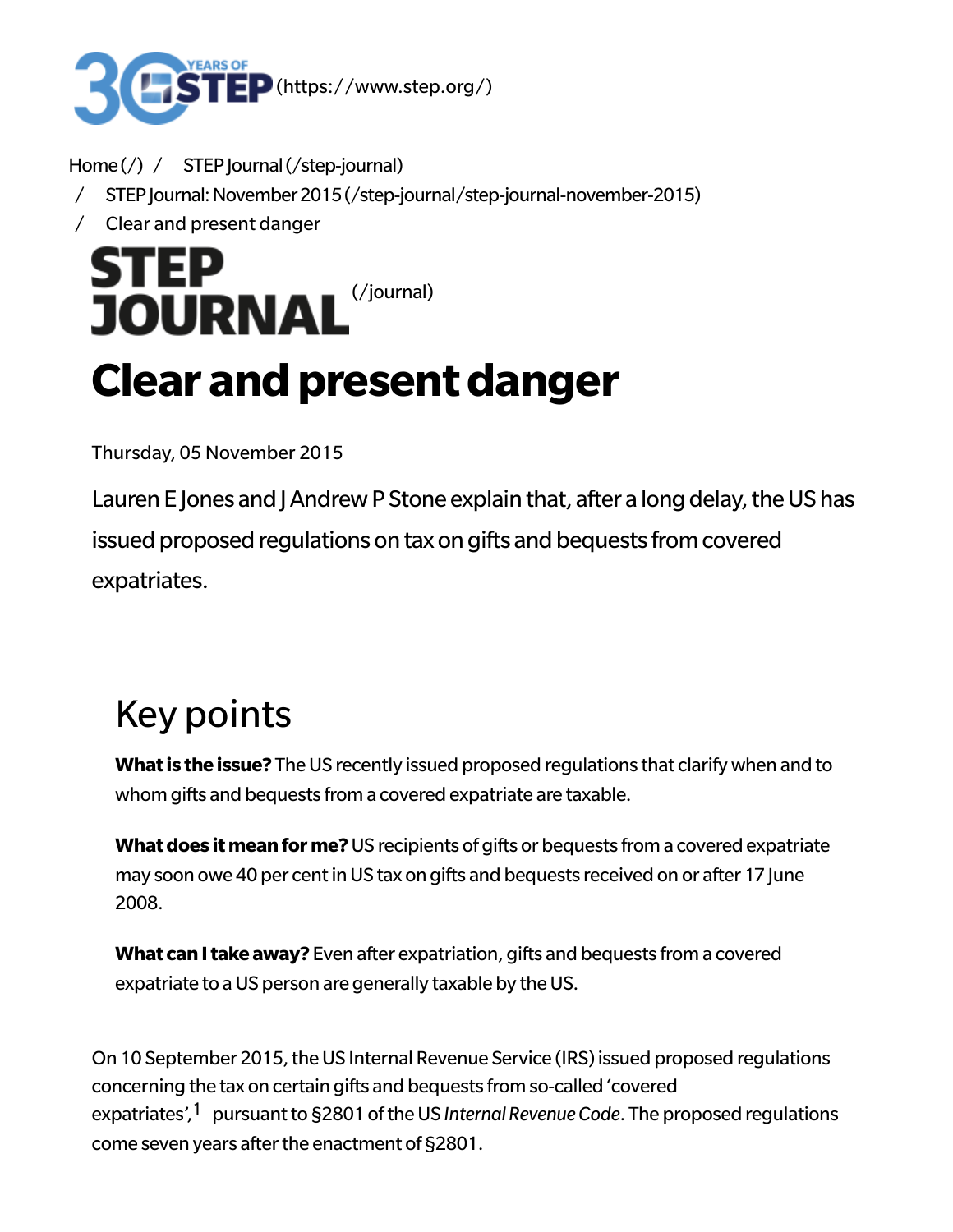

Home $\left(\frac{1}{2}\right)$  / STEP journal (/step-journal)

- / [STEPJournal:November2015\(/step-journal/step-journal-november-2015\)](https://www.step.org/step-journal/step-journal-november-2015)
- / Clear and present danger

**STEP JOURNAL** [\(/journal\)](https://www.step.org/journal)

# **Clear and present danger**

Thursday, 05 November 2015

Lauren E Jones and J Andrew P Stone explain that, after a long delay, the US has issued proposed regulations on tax on gifts and bequests from covered expatriates.

# Key points

**What is the issue?** The US recently issued proposed regulations that clarify when and to whom gifts and bequests from a covered expatriate are taxable.

**What does it mean for me?** US recipients of gifts or bequests from a covered expatriate may soon owe 40 per cent in US tax on gifts and bequests received on or after 17 June 2008.

**What can I take away?** Even after expatriation, gifts and bequests from a covered expatriate to a US person are generally taxable by the US.

<span id="page-0-0"></span>On 10 September 2015, the US Internal Revenue Service (IRS) issued proposed regulations concerning the tax on certain gifts and bequests from so-called 'covered expatriates',<sup>[1](#page-4-0)</sup> pursuant to §2801 of the US *Internal Revenue Code*. The proposed regulations come seven years after the enactment of  $\S 2801$ .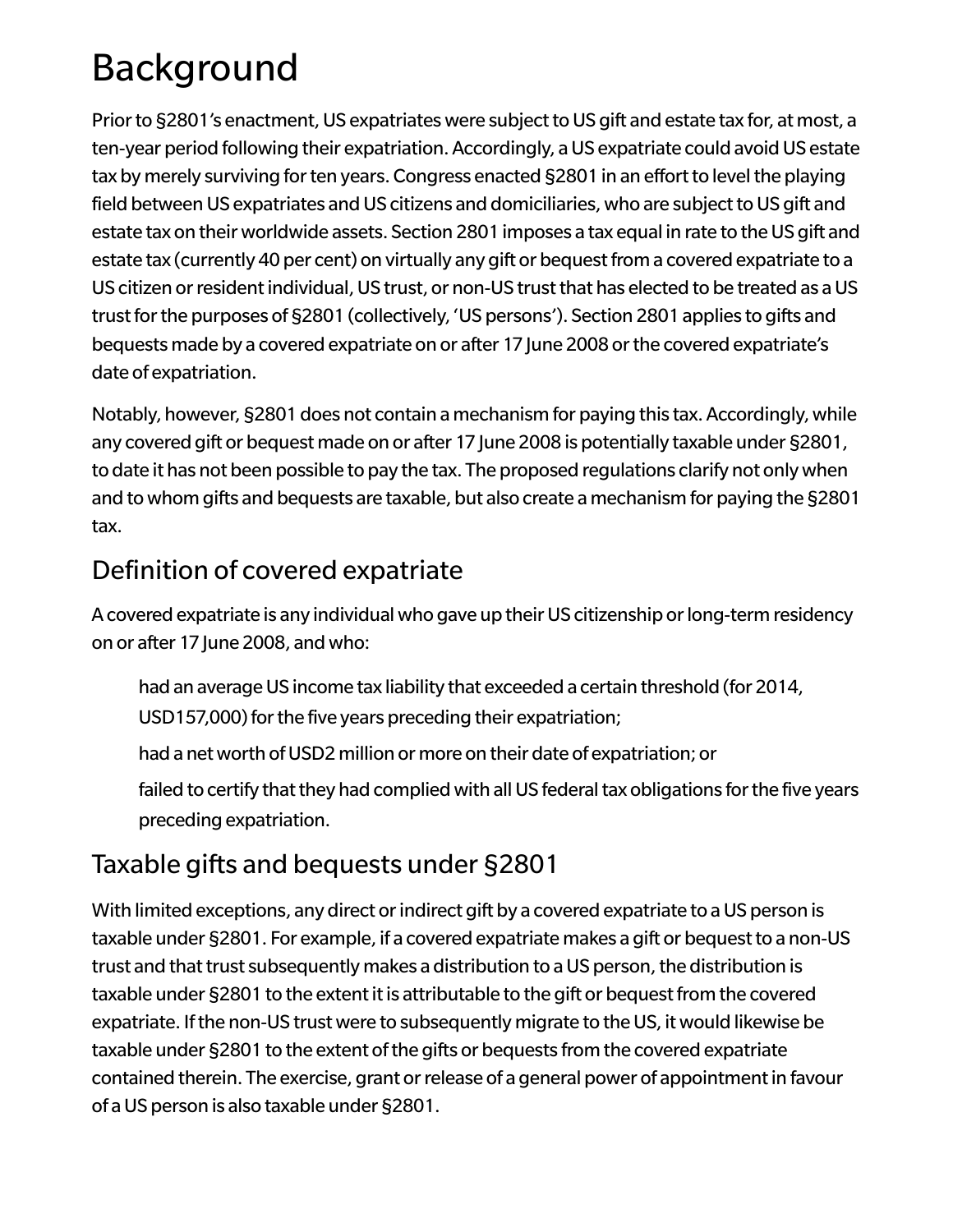# Background

Prior to §2801's enactment, US expatriates were subject to US gift and estate tax for, at most, a ten-year period following their expatriation. Accordingly, a US expatriate could avoid US estate tax by merely surviving for ten years. Congress enacted §2801 in an effort to level the playing field between US expatriates and US citizens and domiciliaries, who are subject to US gift and estate tax on their worldwide assets. Section 2801 imposes a tax equal in rate to the US gift and estate tax (currently 40 per cent) on virtually any gift or bequest from a covered expatriate to a US citizen or resident individual, US trust, or non-US trust that has elected to be treated as a US trust for the purposes of §2801 (collectively, 'US persons'). Section 2801 applies to gifts and bequests made by a covered expatriate on or after 17 June 2008 or the covered expatriate's date of expatriation.

Notably, however, §2801 does not contain a mechanism for paying this tax. Accordingly, while any covered gift or bequest made on or after 17 June 2008 is potentially taxable under §2801, to date it has not been possible to pay the tax. The proposed regulations clarify not onlywhen and towhom gifts and bequests are taxable, but also create a mechanism for paying the §2801 tax.

#### Definition of covered expatriate

A covered expatriate is any individual who gave up their US citizenship or long-term residency on or after 17 June 2008, andwho:

- had an average US income tax liability that exceeded a certain threshold (for 2014, USD157,000) for the five years preceding their expatriation;
- had a net worth of USD2 million or more on their date of expatriation; or
- failed to certify that they had complied with all US federal tax obligations for the five years preceding expatriation.

### Taxable gifts and bequests under §2801

With limited exceptions, any direct or indirect gift by a covered expatriate to a US person is taxable under §2801. For example, if a covered expatriate makes a gift or bequest to a non-US trust and that trust subsequently makes a distribution to a US person, the distribution is taxable under §2801 to the extent it is attributable to the gift or bequest from the covered expatriate. If the non-US trust were to subsequently migrate to the US, it would likewise be taxable under §2801 to the extent of the gifts or bequests from the covered expatriate contained therein. The exercise, grant or release of a general power of appointment in favour of aUS person is also taxable under §2801.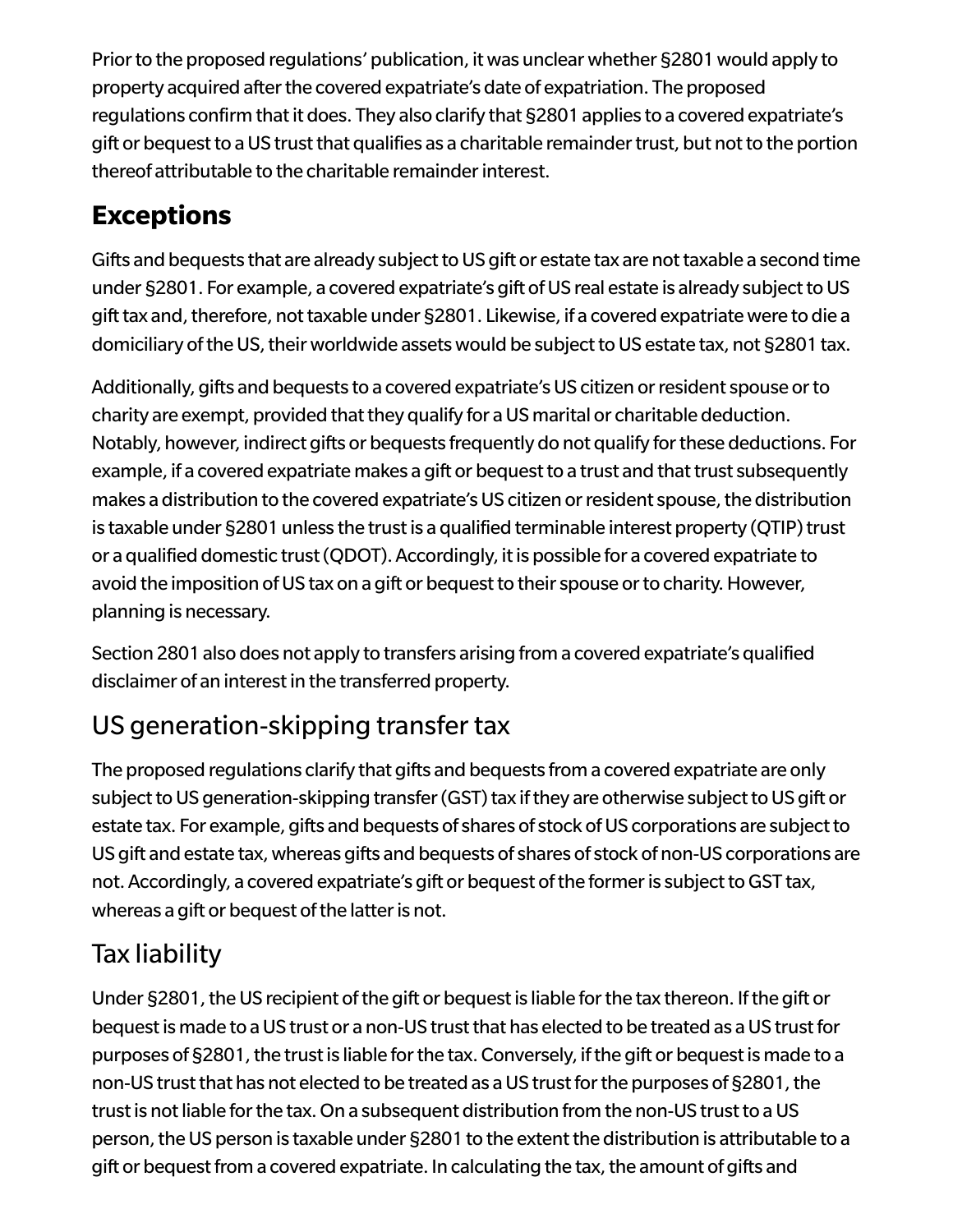Prior to the proposed regulations' publication, it was unclear whether §2801 would apply to property acquired after the covered expatriate's date of expatriation. The proposed regulations confirm that it does. They also clarify that §2801 applies to a covered expatriate's gift or bequest to a US trust that qualifies as a charitable remainder trust, but not to the portion thereof attributable to the charitable remainder interest.

#### **Exceptions**

Gifts and bequests that are already subject to US gift or estate tax are not taxable a second time under §2801. For example, a covered expatriate's gift of US real estate is already subject to US gift tax and, therefore, not taxable under §2801. Likewise, if a covered expatriate were to die a domiciliary of the US, their worldwide assets would be subject to US estate tax, not §2801 tax.

Additionally, gifts and bequests to a covered expatriate's US citizen or resident spouse or to charity are exempt, provided that they qualify for a US marital or charitable deduction. Notably, however, indirect gifts or bequests frequently do not qualify for these deductions. For example, if a covered expatriate makes a gift or bequest to a trust and that trust subsequently makes a distribution to the covered expatriate's US citizen or resident spouse, the distribution is taxable under §2801 unless the trust is a qualified terminable interest property (QTIP) trust or a qualified domestic trust (QDOT). Accordingly, it is possible for a covered expatriate to avoid the imposition of US tax on a gift or bequest to their spouse or to charity. However, planning is necessary.

Section 2801 also does not apply to transfers arising from a covered expatriate's qualified disclaimer of an interest in the transferred property.

#### US generation-skipping transfer tax

The proposed regulations clarify that gifts and bequests from a covered expatriate are only subject to US generation-skipping transfer (GST) tax if they are otherwise subject to US gift or estate tax. For example, gifts and bequests of shares of stock of US corporations are subject to US gift and estate tax, whereas gifts and bequests of shares of stock of non-US corporations are not. Accordingly, a covered expatriate's gift or bequest of the former is subject to GST tax, whereas a gift or bequest of the latter is not.

#### Tax liability

Under §2801, the US recipient of the gift or bequest is liable for the tax thereon. If the gift or bequest is made to a US trust or a non-US trust that has elected to be treated as a US trust for purposes of §2801, the trust is liable for the tax. Conversely, if the gift or bequest is made to a non-US trust that has not elected to be treated as a US trust for the purposes of §2801, the trust is not liable for the tax. On a subsequent distribution from the non-US trust to a US person, the US person is taxable under §2801 to the extent the distribution is attributable to a gift or bequest from a covered expatriate. In calculating the tax, the amount of gifts and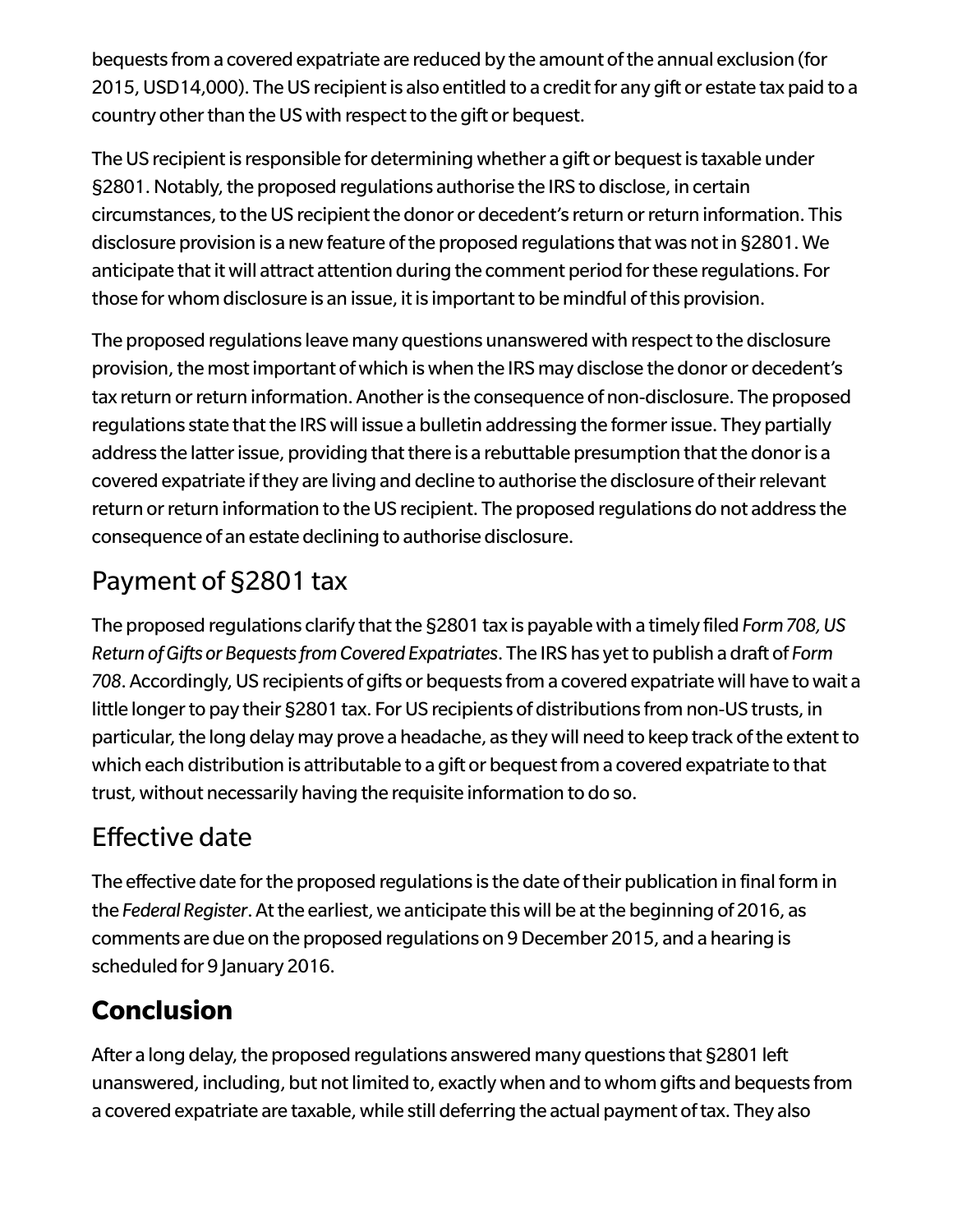bequests from a covered expatriate are reduced by the amount of the annual exclusion (for 2015, USD14,000). The US recipient is also entitled to a credit for any gift or estate tax paid to a country other than the US with respect to the gift or bequest.

The US recipient is responsible for determining whether a gift or bequest is taxable under §2801. Notably, the proposed regulations authorise the IRS to disclose, in certain circumstances, to the US recipient the donor or decedent's return or return information. This disclosure provision is a new feature of the proposed regulations that was not in §2801. We anticipate that it will attract attention during the comment period for these regulations. For those for whom disclosure is an issue, it is important to be mindful of this provision.

The proposed regulations leave many questions unanswered with respect to the disclosure provision, the most important of which is when the IRS may disclose the donor or decedent's tax return or return information. Another is the consequence of non-disclosure. The proposed regulations state that the IRS will issue a bulletin addressing the former issue. They partially address the latter issue, providing that there is a rebuttable presumption that the donor is a covered expatriate if they are living and decline to authorise the disclosure of their relevant return or return information to the US recipient. The proposed regulations do not address the consequence of an estate declining to authorise disclosure.

#### Payment of §2801 tax

The proposed regulations clarify that the §2801 tax is payable with a timely filed *Form 708, US Return ofGifts orBequestsfromCovered Expatriates*. The IRS has yetto publish a draft of *Form* 708. Accordingly, US recipients of gifts or bequests from a covered expatriate will have to wait a little longer to pay their §2801 tax. For US recipients of distributions from non-US trusts, in particular, the long delay may prove a headache, as they will need to keep track of the extent to which each distribution is attributable to a gift or bequest from a covered expatriate to that trust, without necessarily having the requisite information to do so.

#### Effective date

The effective date for the proposed regulations is the date of their publication in final form in the *Federal Register*. Atthe earliest,we anticipate thiswill be atthe beginning of 2016, as comments are due on the proposed regulations on 9December 2015, and a hearing is scheduled for 9 January 2016.

#### **Conclusion**

After a long delay, the proposed regulations answered many questions that §2801 left unanswered, including, but not limited to, exactly when and to whom gifts and bequests from a covered expatriate are taxable, while still deferring the actual payment of tax. They also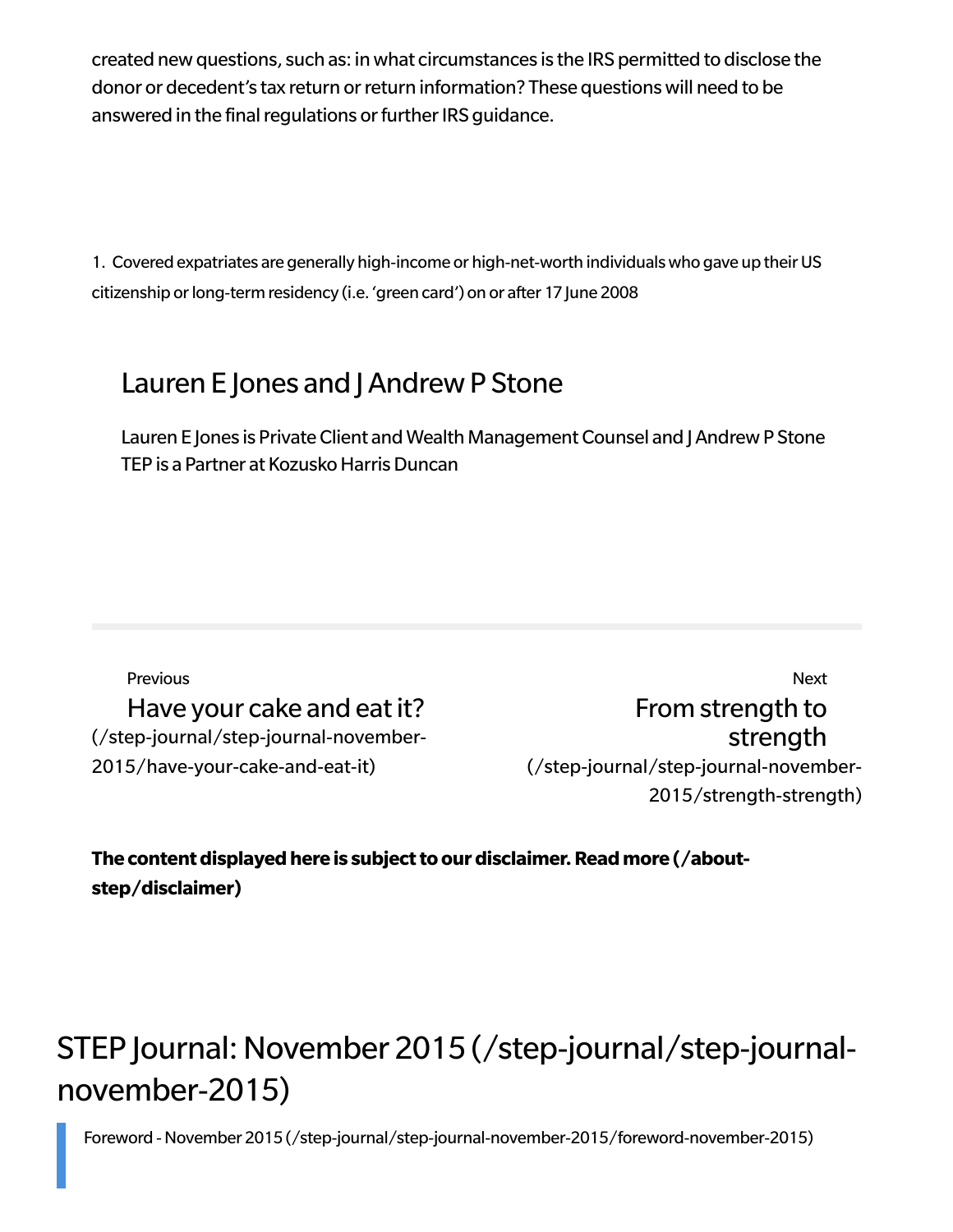created newquestions, such as: inwhat circumstances is the IRS permitted to disclose the donor or decedent's tax return or return information? These questions will need to be answered in the final regulations or further IRS guidance.

<span id="page-4-0"></span>[1.](#page-0-0) Covered expatriates are generally high-income or high-net-worth individuals who gave up their US citizenship or long-term residency (i.e. 'green card') on or after 17 June 2008

#### Lauren E Jones and J Andrew P Stone

Lauren E Jones is Private Client and Wealth Management Counsel and J Andrew P Stone TEP is a Partner at Kozusko Harris Duncan

Previous Have your cake and eat it? [\(/step-journal/step-journal-november-](https://www.step.org/step-journal/step-journal-november-2015/have-your-cake-and-eat-it)2015/have-your-cake-and-eat-it)

Next From strength to strength [\(/step-journal/step-journal-november-](https://www.step.org/step-journal/step-journal-november-2015/strength-strength)2015/strength-strength)

The content displayed here is subject to our disclaimer. Read more (/about**step/disclaimer)**

### STEP Journal: November 2015 [\(/step-journal/step-journal](https://www.step.org/step-journal/step-journal-november-2015)november-2015)

Foreword -November 2015 [\(/step-journal/step-journal-november-2015/foreword-november-2015\)](https://www.step.org/step-journal/step-journal-november-2015/foreword-november-2015)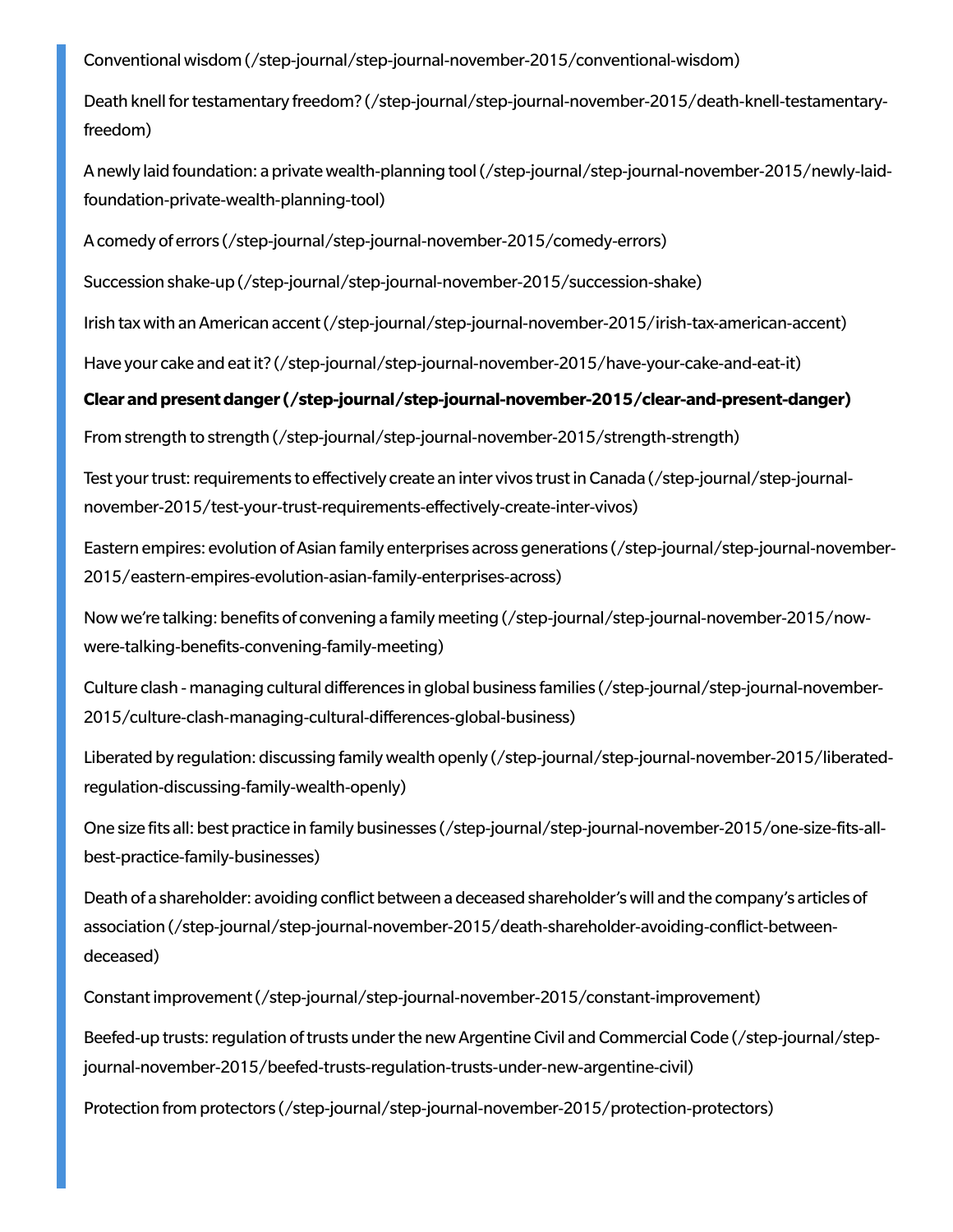Conventional wisdom [\(/step-journal/step-journal-november-2015/conventional-wisdom\)](https://www.step.org/step-journal/step-journal-november-2015/conventional-wisdom)

Death knell for testamentary freedom? [\(/step-journal/step-journal-november-2015/death-knell-testamentary](https://www.step.org/step-journal/step-journal-november-2015/death-knell-testamentary-freedom)freedom)

Anewly laid foundation: a private wealth-planning tool (/step-journal/step-journal-november-2015/newly-laidfoundation-private-wealth-planning-tool)

Acomedy of errors [\(/step-journal/step-journal-november-2015/comedy-errors\)](https://www.step.org/step-journal/step-journal-november-2015/comedy-errors)

Succession shake-up [\(/step-journal/step-journal-november-2015/succession-shake\)](https://www.step.org/step-journal/step-journal-november-2015/succession-shake)

Irish taxwith anAmerican [accent\(/step-journal/step-journal-november-2015/irish-tax-american-accent\)](https://www.step.org/step-journal/step-journal-november-2015/irish-tax-american-accent)

Have your cake and eat it? [\(/step-journal/step-journal-november-2015/have-your-cake-and-eat-it\)](https://www.step.org/step-journal/step-journal-november-2015/have-your-cake-and-eat-it)

#### **Clear [andpresentdanger\(/step-journal/step-journal-november-2015/clear-and-present-danger\)](https://www.step.org/step-journal/step-journal-november-2015/clear-and-present-danger)**

From strength to strength [\(/step-journal/step-journal-november-2015/strength-strength\)](https://www.step.org/step-journal/step-journal-november-2015/strength-strength)

Test your trust: requirements to effectively create an inter vivos trust in Canada (/step-journal/step-journal[november-2015/test-your-trust-requirements-effectively-create-inter-vivos\)](https://www.step.org/step-journal/step-journal-november-2015/test-your-trust-requirements-effectively-create-inter-vivos)

Eastern empires: evolution of Asian family enterprises across generations (/step-journal/step-journal-november-[2015/eastern-empires-evolution-asian-family-enterprises-across\)](https://www.step.org/step-journal/step-journal-november-2015/eastern-empires-evolution-asian-family-enterprises-across)

Nowwe're talking: benefits of convening a family meeting [\(/step-journal/step-journal-november-2015/now](https://www.step.org/step-journal/step-journal-november-2015/now-were-talking-benefits-convening-family-meeting)were-talking-benefits-convening-family-meeting)

Culture clash - managing cultural differences in global business families (/step-journal/step-journal-november-[2015/culture-clash-managing-cultural-differences-global-business\)](https://www.step.org/step-journal/step-journal-november-2015/culture-clash-managing-cultural-differences-global-business)

Liberated by regulation: discussing familywealth openly [\(/step-journal/step-journal-november-2015/liberated](https://www.step.org/step-journal/step-journal-november-2015/liberated-regulation-discussing-family-wealth-openly)regulation-discussing-family-wealth-openly)

One size fits all: best practice in family businesses [\(/step-journal/step-journal-november-2015/one-size-fits-all](https://www.step.org/step-journal/step-journal-november-2015/one-size-fits-all-best-practice-family-businesses)best-practice-family-businesses)

Death of a shareholder: avoiding conflict between a deceased shareholder'swill and the company's articles of association [\(/step-journal/step-journal-november-2015/death-shareholder-avoiding-conflict-between](https://www.step.org/step-journal/step-journal-november-2015/death-shareholder-avoiding-conflict-between-deceased)deceased)

[Constantimprovement\(/step-journal/step-journal-november-2015/constant-improvement\)](https://www.step.org/step-journal/step-journal-november-2015/constant-improvement)

Beefed-up trusts: regulation of trusts under the new Argentine Civil and Commercial Code (/step-journal/step[journal-november-2015/beefed-trusts-regulation-trusts-under-new-argentine-civil\)](https://www.step.org/step-journal/step-journal-november-2015/beefed-trusts-regulation-trusts-under-new-argentine-civil)

Protection from protectors [\(/step-journal/step-journal-november-2015/protection-protectors\)](https://www.step.org/step-journal/step-journal-november-2015/protection-protectors)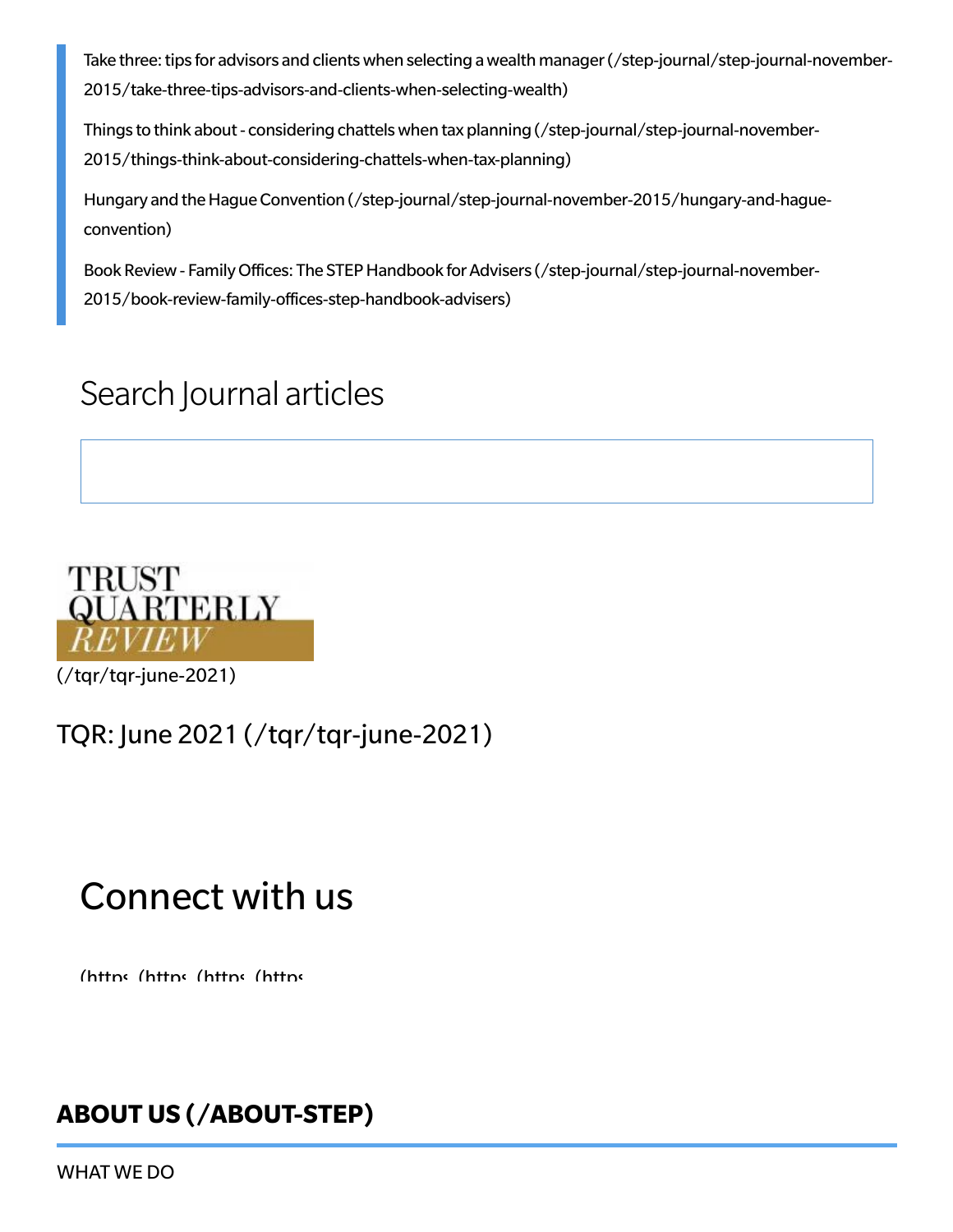Take three: tips for advisors and clients when selecting a wealth manager (/step-journal/step-journal-november-[2015/take-three-tips-advisors-and-clients-when-selecting-wealth\)](https://www.step.org/step-journal/step-journal-november-2015/take-three-tips-advisors-and-clients-when-selecting-wealth)

Things to think about- considering chattelswhen tax planning (/step-journal/step-journal-november-[2015/things-think-about-considering-chattels-when-tax-planning\)](https://www.step.org/step-journal/step-journal-november-2015/things-think-about-considering-chattels-when-tax-planning)

Hungary and the Hague Convention [\(/step-journal/step-journal-november-2015/hungary-and-hague](https://www.step.org/step-journal/step-journal-november-2015/hungary-and-hague-convention)convention)

Book Review - Family Offices: The STEP Handbook for Advisers (/step-journal/step-journal-november-[2015/book-review-family-offices-step-handbook-advisers\)](https://www.step.org/step-journal/step-journal-november-2015/book-review-family-offices-step-handbook-advisers)

### Search Journal articles



[\(/tqr/tqr-june-2021\)](https://www.step.org/tqr/tqr-june-2021)

#### [TQR: June 2021 \(/tqr/tqr-june-2021\)](https://www.step.org/tqr/tqr-june-2021)

## Connect with us

[\(https](https://www.youtube.com/user/STEPWorldwide) (https (https (https

#### **ABOUT US [\(/ABOUT-STEP\)](https://www.step.org/about-step)**

[WHAT](https://www.step.org/about-step/what-we-do) WE DO